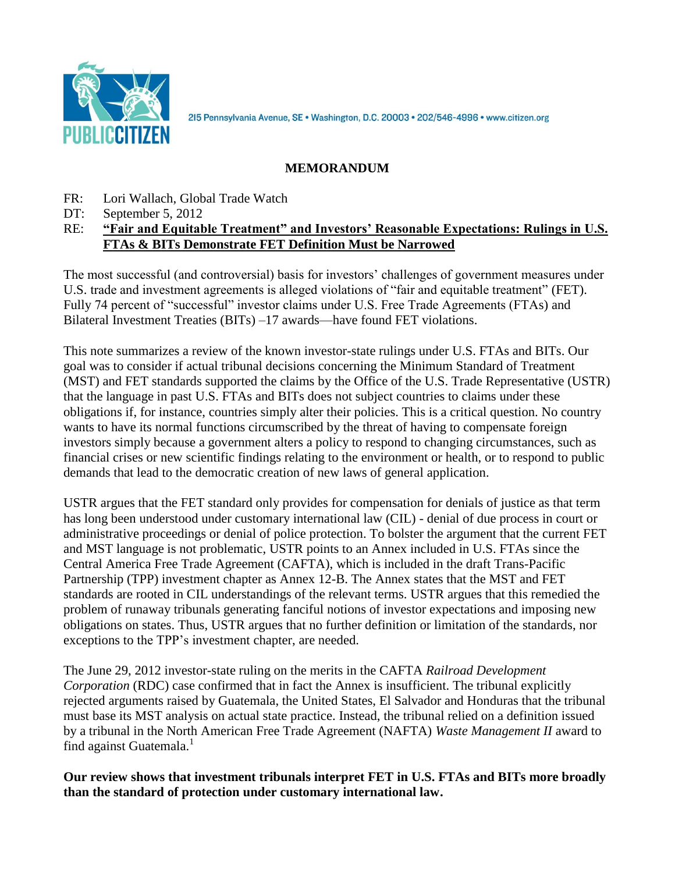

2I5 Pennsylvania Avenue, SE · Washington, D.C. 20003 · 202/546-4996 · www.citizen.org

## **MEMORANDUM**

- FR: Lori Wallach, Global Trade Watch
- DT: September 5, 2012

## RE: **"Fair and Equitable Treatment" and Investors' Reasonable Expectations: Rulings in U.S. FTAs & BITs Demonstrate FET Definition Must be Narrowed**

The most successful (and controversial) basis for investors' challenges of government measures under U.S. trade and investment agreements is alleged violations of "fair and equitable treatment" (FET). Fully 74 percent of "successful" investor claims under U.S. Free Trade Agreements (FTAs) and Bilateral Investment Treaties (BITs) –17 awards—have found FET violations.

This note summarizes a review of the known investor-state rulings under U.S. FTAs and BITs. Our goal was to consider if actual tribunal decisions concerning the Minimum Standard of Treatment (MST) and FET standards supported the claims by the Office of the U.S. Trade Representative (USTR) that the language in past U.S. FTAs and BITs does not subject countries to claims under these obligations if, for instance, countries simply alter their policies. This is a critical question. No country wants to have its normal functions circumscribed by the threat of having to compensate foreign investors simply because a government alters a policy to respond to changing circumstances, such as financial crises or new scientific findings relating to the environment or health, or to respond to public demands that lead to the democratic creation of new laws of general application.

USTR argues that the FET standard only provides for compensation for denials of justice as that term has long been understood under customary international law (CIL) - denial of due process in court or administrative proceedings or denial of police protection. To bolster the argument that the current FET and MST language is not problematic, USTR points to an Annex included in U.S. FTAs since the Central America Free Trade Agreement (CAFTA), which is included in the draft Trans-Pacific Partnership (TPP) investment chapter as Annex 12-B. The Annex states that the MST and FET standards are rooted in CIL understandings of the relevant terms. USTR argues that this remedied the problem of runaway tribunals generating fanciful notions of investor expectations and imposing new obligations on states. Thus, USTR argues that no further definition or limitation of the standards, nor exceptions to the TPP's investment chapter, are needed.

The June 29, 2012 investor-state ruling on the merits in the CAFTA *Railroad Development Corporation* (RDC) case confirmed that in fact the Annex is insufficient. The tribunal explicitly rejected arguments raised by Guatemala, the United States, El Salvador and Honduras that the tribunal must base its MST analysis on actual state practice. Instead, the tribunal relied on a definition issued by a tribunal in the North American Free Trade Agreement (NAFTA) *Waste Management II* award to find against Guatemala. $<sup>1</sup>$ </sup>

**Our review shows that investment tribunals interpret FET in U.S. FTAs and BITs more broadly than the standard of protection under customary international law.**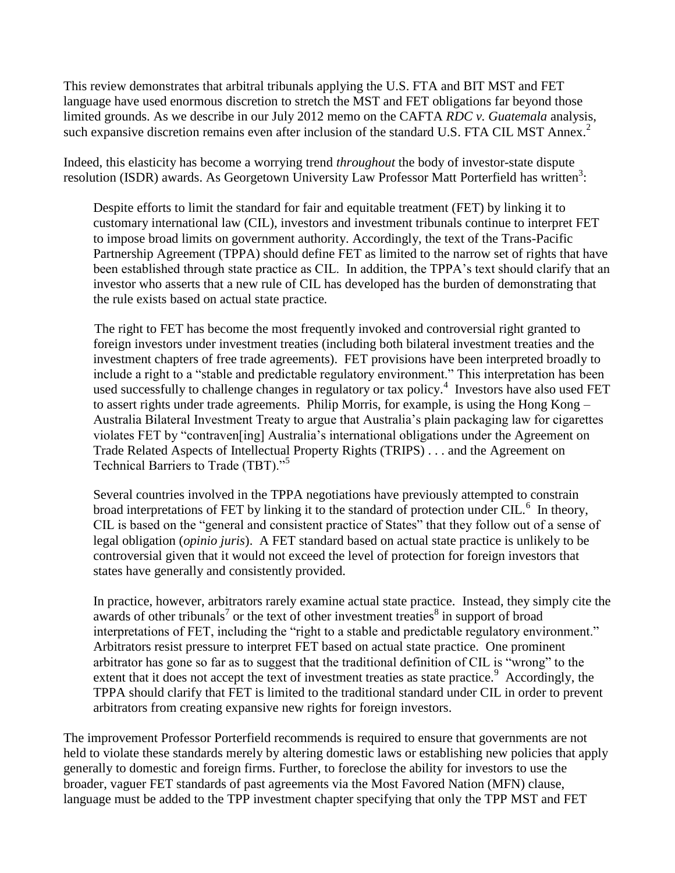This review demonstrates that arbitral tribunals applying the U.S. FTA and BIT MST and FET language have used enormous discretion to stretch the MST and FET obligations far beyond those limited grounds. As we describe in our July 2012 memo on the CAFTA *RDC v. Guatemala* analysis, such expansive discretion remains even after inclusion of the standard U.S. FTA CIL MST Annex.<sup>2</sup>

Indeed, this elasticity has become a worrying trend *throughout* the body of investor-state dispute resolution (ISDR) awards. As Georgetown University Law Professor Matt Porterfield has written<sup>3</sup>:

Despite efforts to limit the standard for fair and equitable treatment (FET) by linking it to customary international law (CIL), investors and investment tribunals continue to interpret FET to impose broad limits on government authority. Accordingly, the text of the Trans-Pacific Partnership Agreement (TPPA) should define FET as limited to the narrow set of rights that have been established through state practice as CIL. In addition, the TPPA's text should clarify that an investor who asserts that a new rule of CIL has developed has the burden of demonstrating that the rule exists based on actual state practice*.*

The right to FET has become the most frequently invoked and controversial right granted to foreign investors under investment treaties (including both bilateral investment treaties and the investment chapters of free trade agreements). FET provisions have been interpreted broadly to include a right to a "stable and predictable regulatory environment." This interpretation has been used successfully to challenge changes in regulatory or tax policy.<sup>4</sup> Investors have also used FET to assert rights under trade agreements. Philip Morris, for example, is using the Hong Kong – Australia Bilateral Investment Treaty to argue that Australia's plain packaging law for cigarettes violates FET by "contraven[ing] Australia's international obligations under the Agreement on Trade Related Aspects of Intellectual Property Rights (TRIPS) . . . and the Agreement on Technical Barriers to Trade (TBT)."<sup>5</sup>

Several countries involved in the TPPA negotiations have previously attempted to constrain broad interpretations of FET by linking it to the standard of protection under CIL.<sup>6</sup> In theory, CIL is based on the "general and consistent practice of States" that they follow out of a sense of legal obligation (*opinio juris*). A FET standard based on actual state practice is unlikely to be controversial given that it would not exceed the level of protection for foreign investors that states have generally and consistently provided.

In practice, however, arbitrators rarely examine actual state practice. Instead, they simply cite the awards of other tribunals<sup>7</sup> or the text of other investment treaties<sup>8</sup> in support of broad interpretations of FET, including the "right to a stable and predictable regulatory environment." Arbitrators resist pressure to interpret FET based on actual state practice. One prominent arbitrator has gone so far as to suggest that the traditional definition of CIL is "wrong" to the extent that it does not accept the text of investment treaties as state practice.<sup>9</sup> Accordingly, the TPPA should clarify that FET is limited to the traditional standard under CIL in order to prevent arbitrators from creating expansive new rights for foreign investors.

The improvement Professor Porterfield recommends is required to ensure that governments are not held to violate these standards merely by altering domestic laws or establishing new policies that apply generally to domestic and foreign firms. Further, to foreclose the ability for investors to use the broader, vaguer FET standards of past agreements via the Most Favored Nation (MFN) clause, language must be added to the TPP investment chapter specifying that only the TPP MST and FET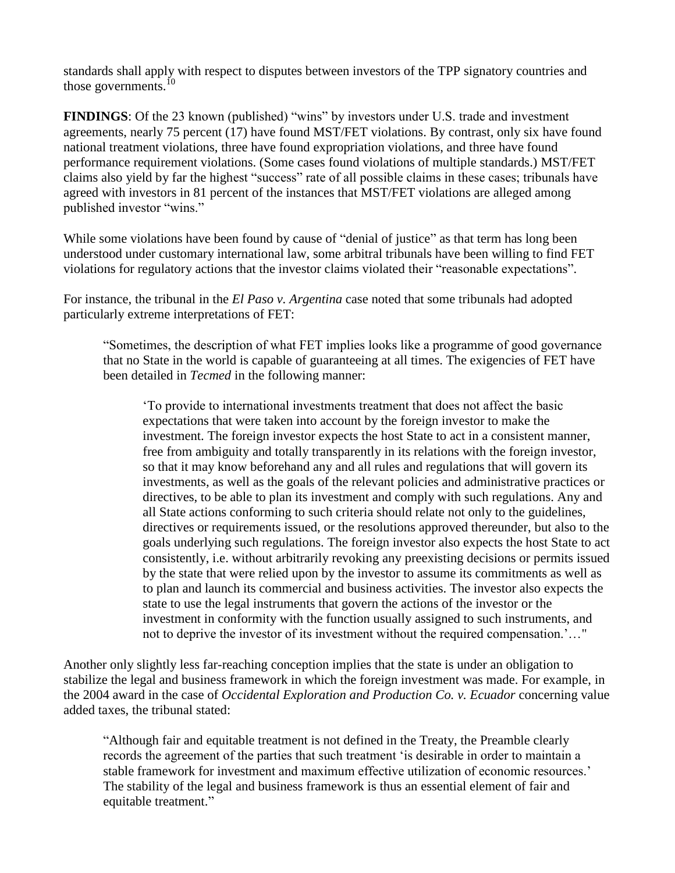standards shall apply with respect to disputes between investors of the TPP signatory countries and those governments.<sup>10</sup>

**FINDINGS:** Of the 23 known (published) "wins" by investors under U.S. trade and investment agreements, nearly 75 percent (17) have found MST/FET violations. By contrast, only six have found national treatment violations, three have found expropriation violations, and three have found performance requirement violations. (Some cases found violations of multiple standards.) MST/FET claims also yield by far the highest "success" rate of all possible claims in these cases; tribunals have agreed with investors in 81 percent of the instances that MST/FET violations are alleged among published investor "wins."

While some violations have been found by cause of "denial of justice" as that term has long been understood under customary international law, some arbitral tribunals have been willing to find FET violations for regulatory actions that the investor claims violated their "reasonable expectations".

For instance, the tribunal in the *El Paso v. Argentina* case noted that some tribunals had adopted particularly extreme interpretations of FET:

"Sometimes, the description of what FET implies looks like a programme of good governance that no State in the world is capable of guaranteeing at all times. The exigencies of FET have been detailed in *Tecmed* in the following manner:

'To provide to international investments treatment that does not affect the basic expectations that were taken into account by the foreign investor to make the investment. The foreign investor expects the host State to act in a consistent manner, free from ambiguity and totally transparently in its relations with the foreign investor, so that it may know beforehand any and all rules and regulations that will govern its investments, as well as the goals of the relevant policies and administrative practices or directives, to be able to plan its investment and comply with such regulations. Any and all State actions conforming to such criteria should relate not only to the guidelines, directives or requirements issued, or the resolutions approved thereunder, but also to the goals underlying such regulations. The foreign investor also expects the host State to act consistently, i.e. without arbitrarily revoking any preexisting decisions or permits issued by the state that were relied upon by the investor to assume its commitments as well as to plan and launch its commercial and business activities. The investor also expects the state to use the legal instruments that govern the actions of the investor or the investment in conformity with the function usually assigned to such instruments, and not to deprive the investor of its investment without the required compensation.'…"

Another only slightly less far-reaching conception implies that the state is under an obligation to stabilize the legal and business framework in which the foreign investment was made. For example, in the 2004 award in the case of *Occidental Exploration and Production Co. v. Ecuador* concerning value added taxes, the tribunal stated:

"Although fair and equitable treatment is not defined in the Treaty, the Preamble clearly records the agreement of the parties that such treatment 'is desirable in order to maintain a stable framework for investment and maximum effective utilization of economic resources.' The stability of the legal and business framework is thus an essential element of fair and equitable treatment."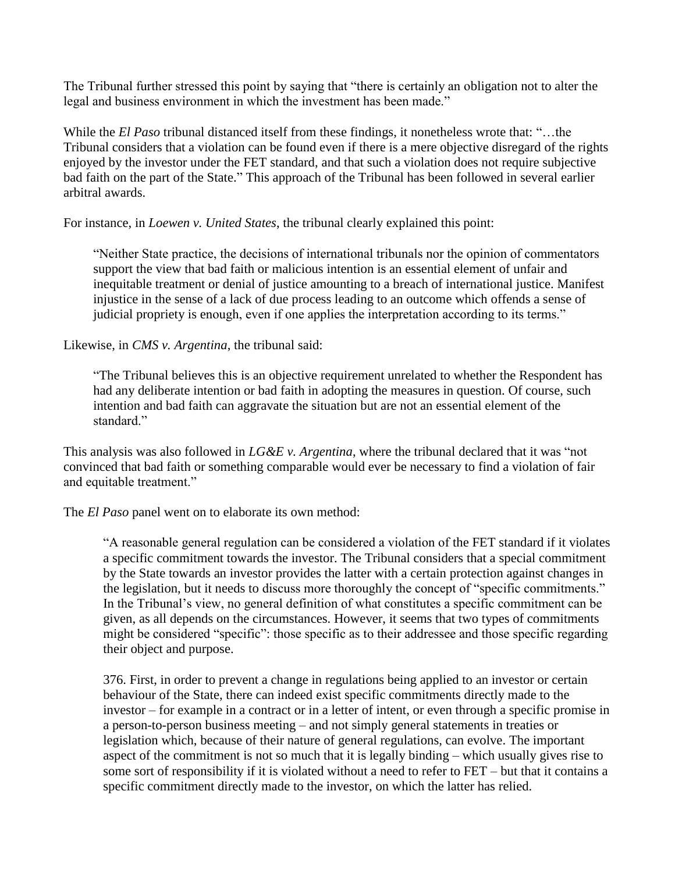The Tribunal further stressed this point by saying that "there is certainly an obligation not to alter the legal and business environment in which the investment has been made."

While the *El Paso* tribunal distanced itself from these findings, it nonetheless wrote that: "…the Tribunal considers that a violation can be found even if there is a mere objective disregard of the rights enjoyed by the investor under the FET standard, and that such a violation does not require subjective bad faith on the part of the State." This approach of the Tribunal has been followed in several earlier arbitral awards.

For instance, in *Loewen v. United States*, the tribunal clearly explained this point:

"Neither State practice, the decisions of international tribunals nor the opinion of commentators support the view that bad faith or malicious intention is an essential element of unfair and inequitable treatment or denial of justice amounting to a breach of international justice. Manifest injustice in the sense of a lack of due process leading to an outcome which offends a sense of judicial propriety is enough, even if one applies the interpretation according to its terms."

Likewise, in *CMS v. Argentina*, the tribunal said:

"The Tribunal believes this is an objective requirement unrelated to whether the Respondent has had any deliberate intention or bad faith in adopting the measures in question. Of course, such intention and bad faith can aggravate the situation but are not an essential element of the standard<sup>"</sup>

This analysis was also followed in *LG&E v. Argentina*, where the tribunal declared that it was "not convinced that bad faith or something comparable would ever be necessary to find a violation of fair and equitable treatment."

The *El Paso* panel went on to elaborate its own method:

"A reasonable general regulation can be considered a violation of the FET standard if it violates a specific commitment towards the investor. The Tribunal considers that a special commitment by the State towards an investor provides the latter with a certain protection against changes in the legislation, but it needs to discuss more thoroughly the concept of "specific commitments." In the Tribunal's view, no general definition of what constitutes a specific commitment can be given, as all depends on the circumstances. However, it seems that two types of commitments might be considered "specific": those specific as to their addressee and those specific regarding their object and purpose.

376. First, in order to prevent a change in regulations being applied to an investor or certain behaviour of the State, there can indeed exist specific commitments directly made to the investor – for example in a contract or in a letter of intent, or even through a specific promise in a person-to-person business meeting – and not simply general statements in treaties or legislation which, because of their nature of general regulations, can evolve. The important aspect of the commitment is not so much that it is legally binding – which usually gives rise to some sort of responsibility if it is violated without a need to refer to FET – but that it contains a specific commitment directly made to the investor, on which the latter has relied.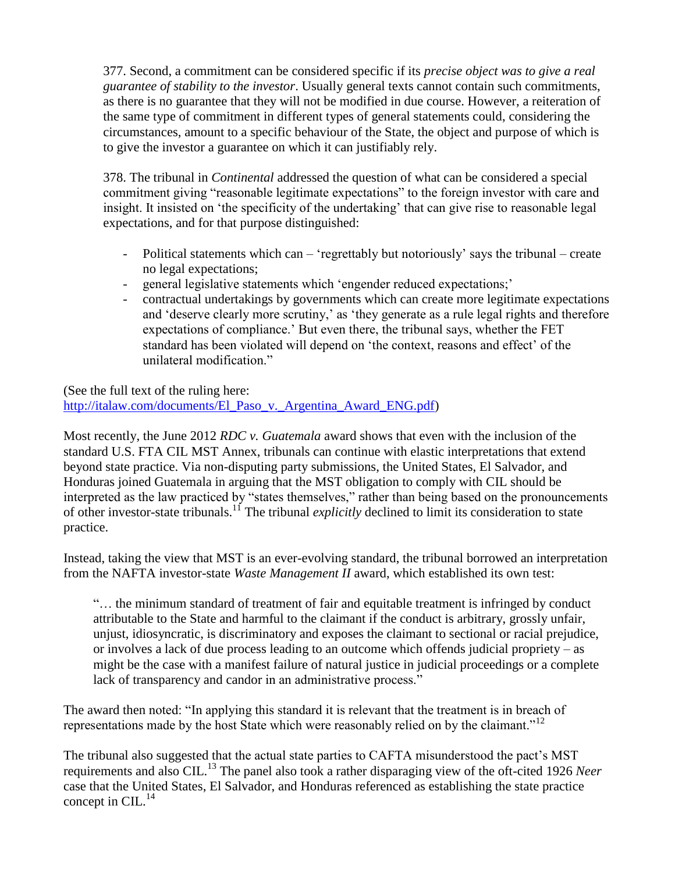377. Second, a commitment can be considered specific if its *precise object was to give a real guarantee of stability to the investor*. Usually general texts cannot contain such commitments, as there is no guarantee that they will not be modified in due course. However, a reiteration of the same type of commitment in different types of general statements could, considering the circumstances, amount to a specific behaviour of the State, the object and purpose of which is to give the investor a guarantee on which it can justifiably rely.

378. The tribunal in *Continental* addressed the question of what can be considered a special commitment giving "reasonable legitimate expectations" to the foreign investor with care and insight. It insisted on 'the specificity of the undertaking' that can give rise to reasonable legal expectations, and for that purpose distinguished:

- Political statements which can 'regrettably but notoriously' says the tribunal create no legal expectations;
- general legislative statements which 'engender reduced expectations;'
- contractual undertakings by governments which can create more legitimate expectations and 'deserve clearly more scrutiny,' as 'they generate as a rule legal rights and therefore expectations of compliance.' But even there, the tribunal says, whether the FET standard has been violated will depend on 'the context, reasons and effect' of the unilateral modification."

(See the full text of the ruling here: [http://italaw.com/documents/El\\_Paso\\_v.\\_Argentina\\_Award\\_ENG.pdf\)](http://italaw.com/documents/El_Paso_v._Argentina_Award_ENG.pdf)

Most recently, the June 2012 *RDC v. Guatemala* award shows that even with the inclusion of the standard U.S. FTA CIL MST Annex, tribunals can continue with elastic interpretations that extend beyond state practice. Via non-disputing party submissions, the United States, El Salvador, and Honduras joined Guatemala in arguing that the MST obligation to comply with CIL should be interpreted as the law practiced by "states themselves," rather than being based on the pronouncements of other investor-state tribunals.<sup>11</sup> The tribunal *explicitly* declined to limit its consideration to state practice.

Instead, taking the view that MST is an ever-evolving standard, the tribunal borrowed an interpretation from the NAFTA investor-state *Waste Management II* award, which established its own test:

"… the minimum standard of treatment of fair and equitable treatment is infringed by conduct attributable to the State and harmful to the claimant if the conduct is arbitrary, grossly unfair, unjust, idiosyncratic, is discriminatory and exposes the claimant to sectional or racial prejudice, or involves a lack of due process leading to an outcome which offends judicial propriety – as might be the case with a manifest failure of natural justice in judicial proceedings or a complete lack of transparency and candor in an administrative process."

The award then noted: "In applying this standard it is relevant that the treatment is in breach of representations made by the host State which were reasonably relied on by the claimant."<sup>12</sup>

The tribunal also suggested that the actual state parties to CAFTA misunderstood the pact's MST requirements and also CIL.<sup>13</sup> The panel also took a rather disparaging view of the oft-cited 1926 *Neer* case that the United States, El Salvador, and Honduras referenced as establishing the state practice concept in CIL.<sup>14</sup>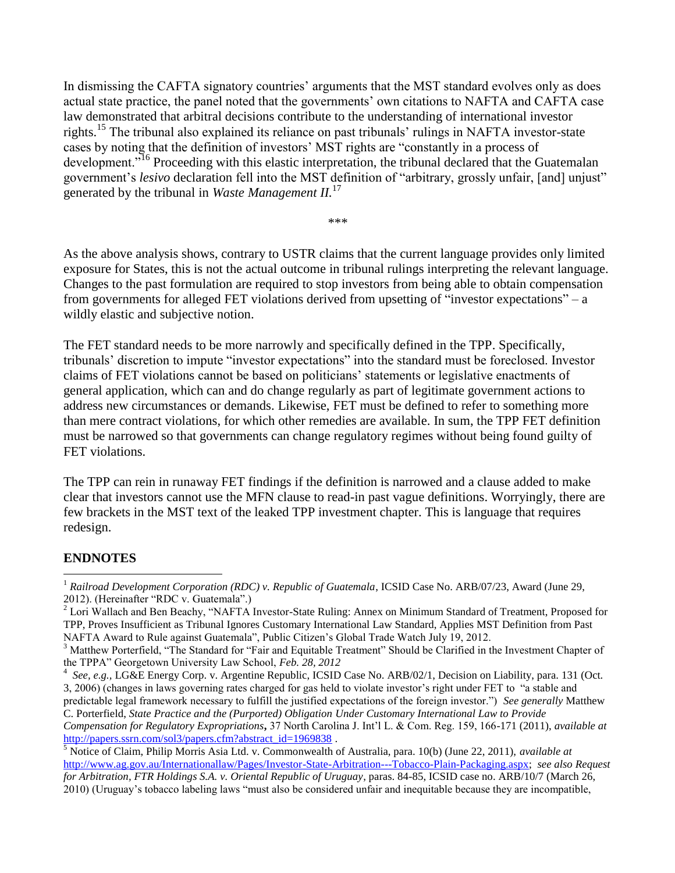In dismissing the CAFTA signatory countries' arguments that the MST standard evolves only as does actual state practice, the panel noted that the governments' own citations to NAFTA and CAFTA case law demonstrated that arbitral decisions contribute to the understanding of international investor rights.<sup>15</sup> The tribunal also explained its reliance on past tribunals' rulings in NAFTA investor-state cases by noting that the definition of investors' MST rights are "constantly in a process of development.<sup>"16</sup> Proceeding with this elastic interpretation, the tribunal declared that the Guatemalan government's *lesivo* declaration fell into the MST definition of "arbitrary, grossly unfair, [and] unjust" generated by the tribunal in *Waste Management II.*<sup>17</sup>

As the above analysis shows, contrary to USTR claims that the current language provides only limited exposure for States, this is not the actual outcome in tribunal rulings interpreting the relevant language. Changes to the past formulation are required to stop investors from being able to obtain compensation from governments for alleged FET violations derived from upsetting of "investor expectations" – a wildly elastic and subjective notion.

*\*\*\**

The FET standard needs to be more narrowly and specifically defined in the TPP. Specifically, tribunals' discretion to impute "investor expectations" into the standard must be foreclosed. Investor claims of FET violations cannot be based on politicians' statements or legislative enactments of general application, which can and do change regularly as part of legitimate government actions to address new circumstances or demands. Likewise, FET must be defined to refer to something more than mere contract violations, for which other remedies are available. In sum, the TPP FET definition must be narrowed so that governments can change regulatory regimes without being found guilty of FET violations.

The TPP can rein in runaway FET findings if the definition is narrowed and a clause added to make clear that investors cannot use the MFN clause to read-in past vague definitions. Worryingly, there are few brackets in the MST text of the leaked TPP investment chapter. This is language that requires redesign.

## **ENDNOTES**

 $\overline{a}$ 

<sup>&</sup>lt;sup>1</sup> Railroad Development Corporation (RDC) v. Republic of Guatemala, ICSID Case No. ARB/07/23, Award (June 29, 2012). (Hereinafter "RDC v. Guatemala".)

 $2^2$  Lori Wallach and Ben Beachy, "NAFTA Investor-State Ruling: Annex on Minimum Standard of Treatment, Proposed for TPP, Proves Insufficient as Tribunal Ignores Customary International Law Standard, Applies MST Definition from Past NAFTA Award to Rule against Guatemala", Public Citizen's Global Trade Watch July 19, 2012.

<sup>&</sup>lt;sup>3</sup> Matthew Porterfield, "The Standard for "Fair and Equitable Treatment" Should be Clarified in the Investment Chapter of the TPPA" Georgetown University Law School, *Feb. 28, 2012*

<sup>4</sup> *See, e.g.,* LG&E Energy Corp. v. Argentine Republic, ICSID Case No. ARB/02/1, Decision on Liability, para. 131 (Oct. 3, 2006) (changes in laws governing rates charged for gas held to violate investor's right under FET to "a stable and predictable legal framework necessary to fulfill the justified expectations of the foreign investor.") *See generally* Matthew C. Porterfield, *State Practice and the (Purported) Obligation Under Customary International Law to Provide* 

*Compensation for Regulatory Expropriations***,** 37 North Carolina J. Int'l L. & Com. Reg. 159, 166-171 (2011), *available at* [http://papers.ssrn.com/sol3/papers.cfm?abstract\\_id=1969838](http://papers.ssrn.com/sol3/papers.cfm?abstract_id=1969838).

<sup>5</sup> Notice of Claim, Philip Morris Asia Ltd. v. Commonwealth of Australia, para. 10(b) (June 22, 2011), *available at* [http://www.ag.gov.au/Internationallaw/Pages/Investor-State-Arbitration---Tobacco-Plain-Packaging.aspx;](http://www.ag.gov.au/Internationallaw/Pages/Investor-State-Arbitration---Tobacco-Plain-Packaging.aspx) *see also Request for Arbitration, FTR Holdings S.A. v. Oriental Republic of Uruguay*, paras. 84-85, ICSID case no. ARB/10/7 (March 26, 2010) (Uruguay's tobacco labeling laws "must also be considered unfair and inequitable because they are incompatible,